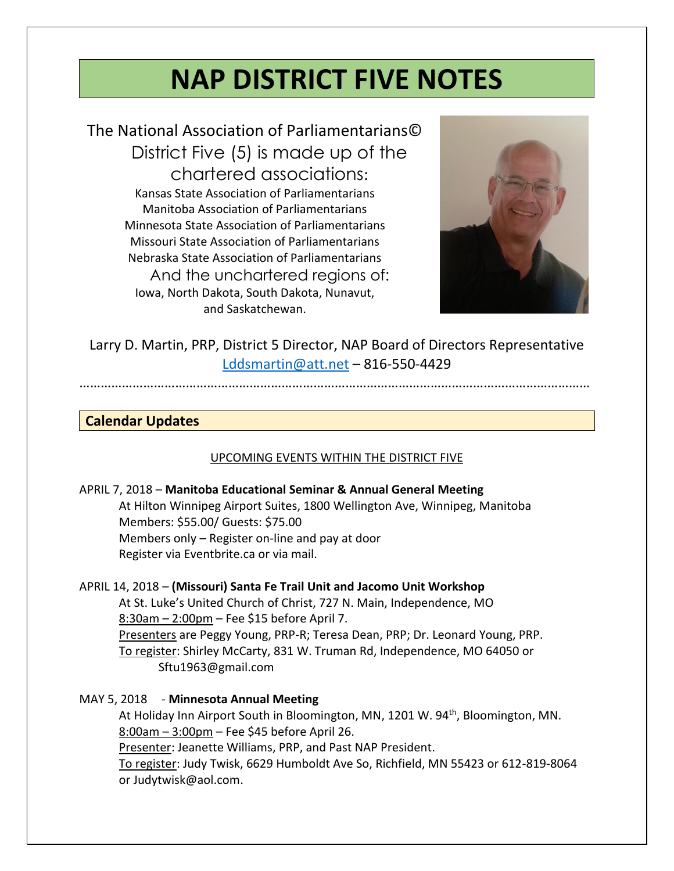# **NAP DISTRICT FIVE NOTES**

The National Association of Parliamentarians© District Five (5) is made up of the chartered associations: Kansas State Association of Parliamentarians Manitoba Association of Parliamentarians Minnesota State Association of Parliamentarians Missouri State Association of Parliamentarians Nebraska State Association of Parliamentarians And the unchartered regions of: Iowa, North Dakota, South Dakota, Nunavut, and Saskatchewan.



Larry D. Martin, PRP, District 5 Director, NAP Board of Directors Representative [Lddsmartin@att.net](mailto:Lddsmartin@att.net) – 816-550-4429

#### ………………………………………………………………………………………………………………………………

### **Calendar Updates**

### UPCOMING EVENTS WITHIN THE DISTRICT FIVE

| APRIL 7, 2018 – Manitoba Educational Seminar & Annual General Meeting      |
|----------------------------------------------------------------------------|
| At Hilton Winnipeg Airport Suites, 1800 Wellington Ave, Winnipeg, Manitoba |
| Members: \$55.00/ Guests: \$75.00                                          |
| Members only – Register on-line and pay at door                            |
| Register via Eventbrite.ca or via mail.                                    |
|                                                                            |

### APRIL 14, 2018 – **(Missouri) Santa Fe Trail Unit and Jacomo Unit Workshop**

At St. Luke's United Church of Christ, 727 N. Main, Independence, MO 8:30am - 2:00pm - Fee \$15 before April 7. Presenters are Peggy Young, PRP-R; Teresa Dean, PRP; Dr. Leonard Young, PRP. To register: Shirley McCarty, 831 W. Truman Rd, Independence, MO 64050 or [Sftu1963@gmail.com](mailto:Sftu1963@gmail.com)

### MAY 5, 2018 - **Minnesota Annual Meeting**

At Holiday Inn Airport South in Bloomington, MN, 1201 W. 94<sup>th</sup>, Bloomington, MN. 8:00am – 3:00pm – Fee \$45 before April 26.

Presenter: Jeanette Williams, PRP, and Past NAP President.

To register: Judy Twisk, 6629 Humboldt Ave So, Richfield, MN 55423 or 612-819-8064 or [Judytwisk@aol.com.](mailto:Judytwisk@aol.com)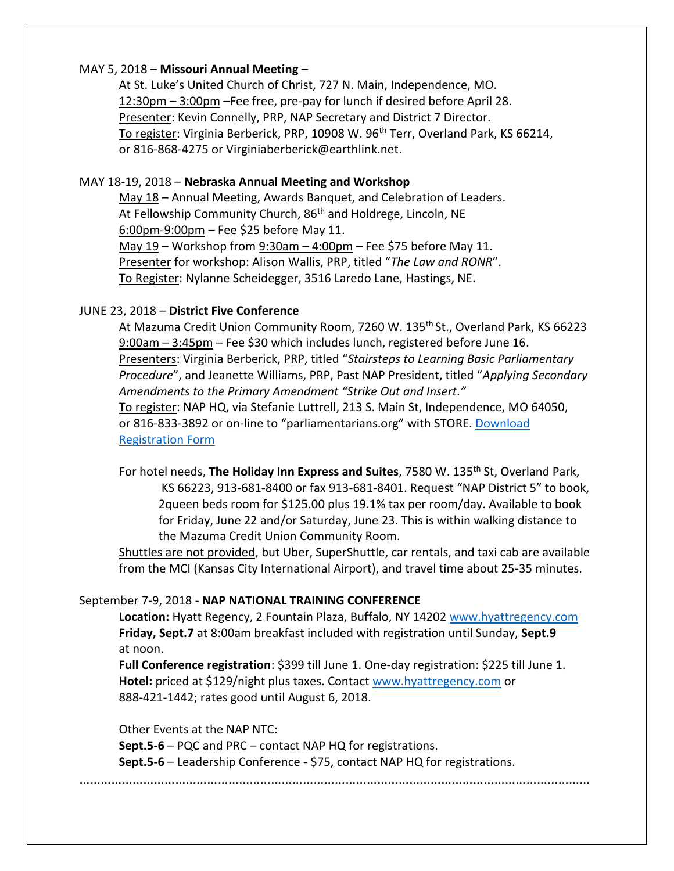### MAY 5, 2018 – **Missouri Annual Meeting** –

At St. Luke's United Church of Christ, 727 N. Main, Independence, MO. 12:30pm – 3:00pm –Fee free, pre-pay for lunch if desired before April 28. Presenter: Kevin Connelly, PRP, NAP Secretary and District 7 Director. To register: Virginia Berberick, PRP, 10908 W. 96<sup>th</sup> Terr, Overland Park, KS 66214, or 816-868-4275 or [Virginiaberberick@earthlink.net.](mailto:Virginiaberberick@earthlink.net)

### MAY 18-19, 2018 – **Nebraska Annual Meeting and Workshop**

May 18 - Annual Meeting, Awards Banquet, and Celebration of Leaders. At Fellowship Community Church, 86<sup>th</sup> and Holdrege, Lincoln, NE 6:00pm-9:00pm – Fee \$25 before May 11. May 19 – Workshop from 9:30am – 4:00pm – Fee \$75 before May 11. Presenter for workshop: Alison Wallis, PRP, titled "*The Law and RONR*". To Register: Nylanne Scheidegger, 3516 Laredo Lane, Hastings, NE.

### JUNE 23, 2018 – **District Five Conference**

At Mazuma Credit Union Community Room, 7260 W. 135<sup>th</sup> St., Overland Park, KS 66223 9:00am – 3:45pm – Fee \$30 which includes lunch, registered before June 16. Presenters: Virginia Berberick, PRP, titled "*Stairsteps to Learning Basic Parliamentary Procedure*", and Jeanette Williams, PRP, Past NAP President, titled "*Applying Secondary Amendments to the Primary Amendment "Strike Out and Insert."* To register: NAP HQ, via Stefanie Luttrell, 213 S. Main St, Independence, MO 64050, or 816-833-3892 or on-line to "parliamentarians.org" with STORE. [Download](http://www.parliamentarians.org/wp-content/uploads/2018/04/2018-D5Conference-Registration-Form3a.pdf)  [Registration Form](http://www.parliamentarians.org/wp-content/uploads/2018/04/2018-D5Conference-Registration-Form3a.pdf)

For hotel needs, The Holiday Inn Express and Suites, 7580 W. 135<sup>th</sup> St, Overland Park, KS 66223, 913-681-8400 or fax 913-681-8401. Request "NAP District 5" to book, 2queen beds room for \$125.00 plus 19.1% tax per room/day. Available to book for Friday, June 22 and/or Saturday, June 23. This is within walking distance to the Mazuma Credit Union Community Room.

Shuttles are not provided, but Uber, SuperShuttle, car rentals, and taxi cab are available from the MCI (Kansas City International Airport), and travel time about 25-35 minutes.

### September 7-9, 2018 - **NAP NATIONAL TRAINING CONFERENCE**

**Location:** Hyatt Regency, 2 Fountain Plaza, Buffalo, NY 14202 [www.hyattregency.com](http://www.hyattregency.com/) **Friday, Sept.7** at 8:00am breakfast included with registration until Sunday, **Sept.9** at noon.

**Full Conference registration**: \$399 till June 1. One-day registration: \$225 till June 1. **Hotel:** priced at \$129/night plus taxes. Contact [www.hyattregency.com](http://www.hyattregency.com/) or 888-421-1442; rates good until August 6, 2018.

Other Events at the NAP NTC:

**Sept.5-6** – PQC and PRC – contact NAP HQ for registrations.

**Sept.5-6** – Leadership Conference - \$75, contact NAP HQ for registrations.

………………………………………………………………………………………………………………………………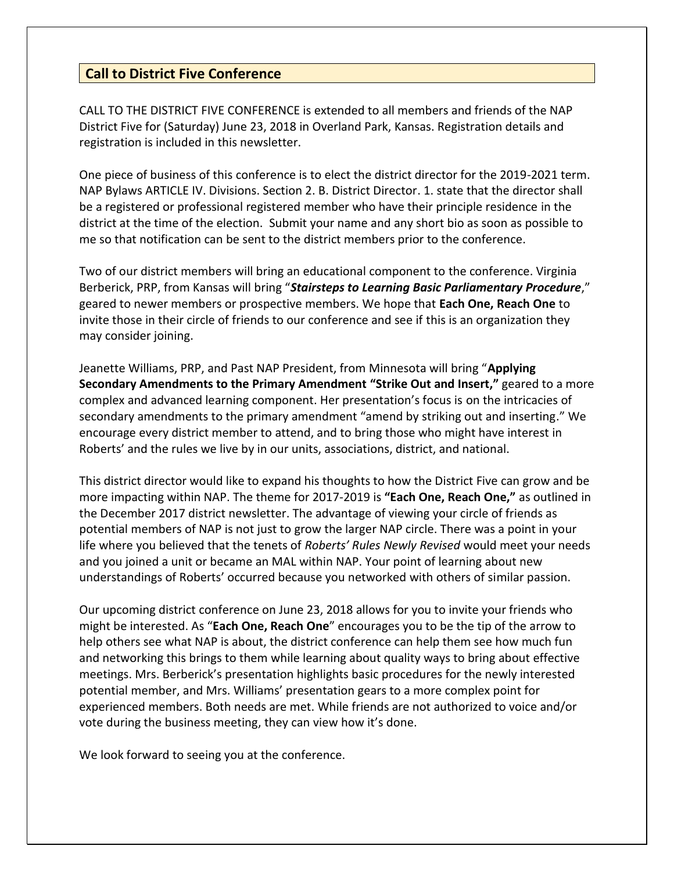# **Call to District Five Conference**

CALL TO THE DISTRICT FIVE CONFERENCE is extended to all members and friends of the NAP District Five for (Saturday) June 23, 2018 in Overland Park, Kansas. Registration details and registration is included in this newsletter.

One piece of business of this conference is to elect the district director for the 2019-2021 term. NAP Bylaws ARTICLE IV. Divisions. Section 2. B. District Director. 1. state that the director shall be a registered or professional registered member who have their principle residence in the district at the time of the election. Submit your name and any short bio as soon as possible to me so that notification can be sent to the district members prior to the conference.

Two of our district members will bring an educational component to the conference. Virginia Berberick, PRP, from Kansas will bring "*Stairsteps to Learning Basic Parliamentary Procedure*," geared to newer members or prospective members. We hope that **Each One, Reach One** to invite those in their circle of friends to our conference and see if this is an organization they may consider joining.

Jeanette Williams, PRP, and Past NAP President, from Minnesota will bring "**Applying Secondary Amendments to the Primary Amendment "Strike Out and Insert,"** geared to a more complex and advanced learning component. Her presentation's focus is on the intricacies of secondary amendments to the primary amendment "amend by striking out and inserting." We encourage every district member to attend, and to bring those who might have interest in Roberts' and the rules we live by in our units, associations, district, and national.

This district director would like to expand his thoughts to how the District Five can grow and be more impacting within NAP. The theme for 2017-2019 is **"Each One, Reach One,"** as outlined in the December 2017 district newsletter. The advantage of viewing your circle of friends as potential members of NAP is not just to grow the larger NAP circle. There was a point in your life where you believed that the tenets of *Roberts' Rules Newly Revised* would meet your needs and you joined a unit or became an MAL within NAP. Your point of learning about new understandings of Roberts' occurred because you networked with others of similar passion.

Our upcoming district conference on June 23, 2018 allows for you to invite your friends who might be interested. As "**Each One, Reach One**" encourages you to be the tip of the arrow to help others see what NAP is about, the district conference can help them see how much fun and networking this brings to them while learning about quality ways to bring about effective meetings. Mrs. Berberick's presentation highlights basic procedures for the newly interested potential member, and Mrs. Williams' presentation gears to a more complex point for experienced members. Both needs are met. While friends are not authorized to voice and/or vote during the business meeting, they can view how it's done.

We look forward to seeing you at the conference.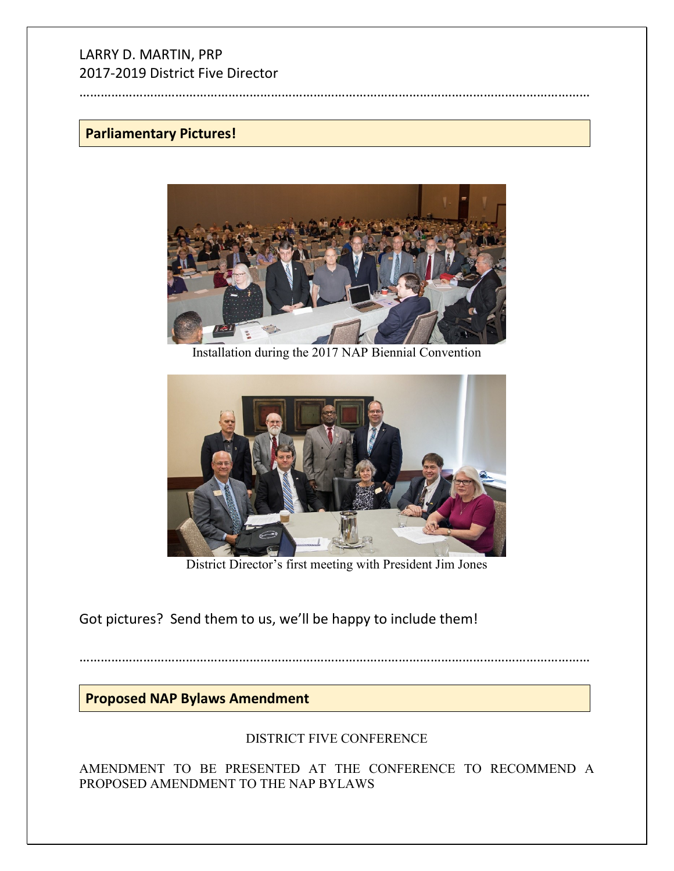# LARRY D. MARTIN, PRP 2017-2019 District Five Director

………………………………………………………………………………………………………………………………

# **Parliamentary Pictures!**



Installation during the 2017 NAP Biennial Convention



District Director's first meeting with President Jim Jones

Got pictures? Send them to us, we'll be happy to include them!

………………………………………………………………………………………………………………………………

# **Proposed NAP Bylaws Amendment**

# DISTRICT FIVE CONFERENCE

AMENDMENT TO BE PRESENTED AT THE CONFERENCE TO RECOMMEND A PROPOSED AMENDMENT TO THE NAP BYLAWS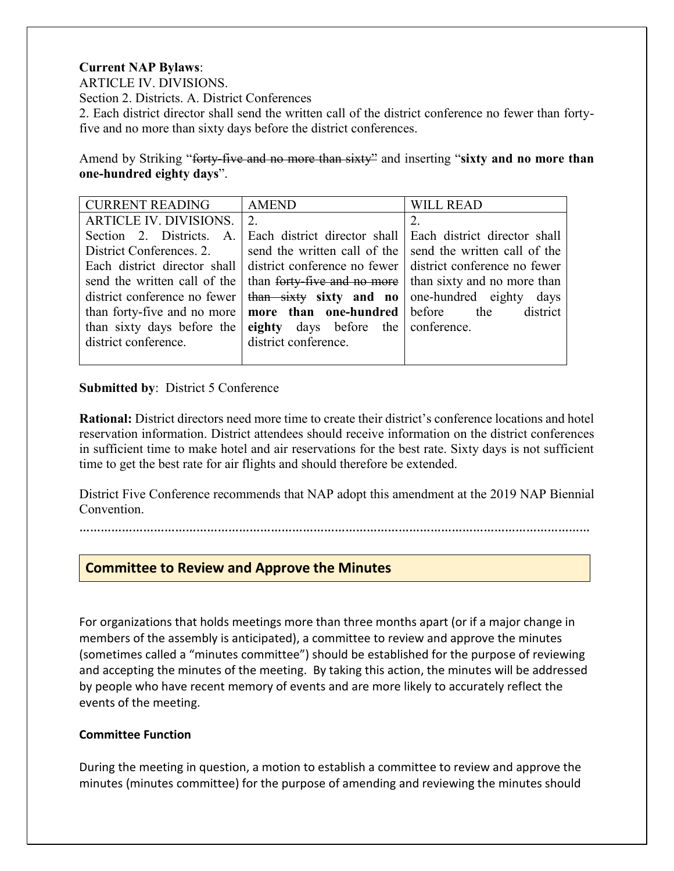## **Current NAP Bylaws**:

ARTICLE IV. DIVISIONS.

Section 2. Districts. A. District Conferences

2. Each district director shall send the written call of the district conference no fewer than fortyfive and no more than sixty days before the district conferences.

Amend by Striking "forty-five and no more than sixty" and inserting "**sixty and no more than one-hundred eighty days**".

| <b>CURRENT READING</b>       | <b>AMEND</b>                                              | <b>WILL READ</b>                                          |
|------------------------------|-----------------------------------------------------------|-----------------------------------------------------------|
| ARTICLE IV. DIVISIONS.       | 2.                                                        |                                                           |
| Section 2. Districts. A.     | Each district director shall                              | Each district director shall                              |
| District Conferences. 2.     | send the written call of the                              | send the written call of the                              |
|                              | Each district director shall district conference no fewer | district conference no fewer                              |
| send the written call of the |                                                           | than forty-five and no more   than sixty and no more than |
| district conference no fewer | than sixty sixty and no                                   | one-hundred eighty<br>days                                |
| than forty-five and no more  | more than one-hundred before the                          | district                                                  |
| than sixty days before the   | eighty days before the conference.                        |                                                           |
| district conference.         | district conference.                                      |                                                           |
|                              |                                                           |                                                           |

### **Submitted by: District 5 Conference**

**Rational:** District directors need more time to create their district's conference locations and hotel reservation information. District attendees should receive information on the district conferences in sufficient time to make hotel and air reservations for the best rate. Sixty days is not sufficient time to get the best rate for air flights and should therefore be extended.

District Five Conference recommends that NAP adopt this amendment at the 2019 NAP Biennial Convention.

………………………………………………………………………………………………………………………………

# **Committee to Review and Approve the Minutes**

For organizations that holds meetings more than three months apart (or if a major change in members of the assembly is anticipated), a committee to review and approve the minutes (sometimes called a "minutes committee") should be established for the purpose of reviewing and accepting the minutes of the meeting. By taking this action, the minutes will be addressed by people who have recent memory of events and are more likely to accurately reflect the events of the meeting.

### **Committee Function**

During the meeting in question, a motion to establish a committee to review and approve the minutes (minutes committee) for the purpose of amending and reviewing the minutes should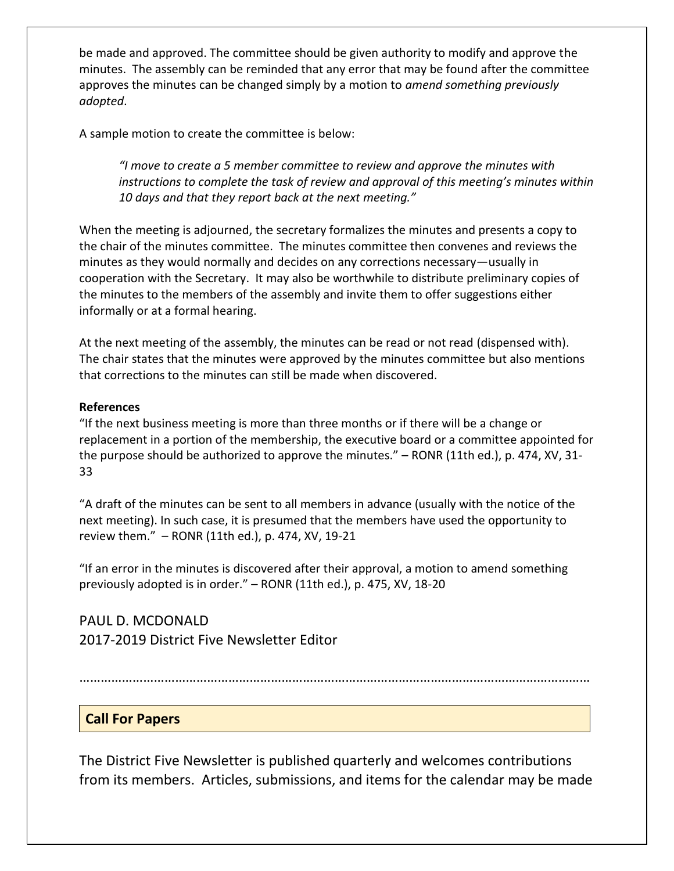be made and approved. The committee should be given authority to modify and approve the minutes. The assembly can be reminded that any error that may be found after the committee approves the minutes can be changed simply by a motion to *amend something previously adopted*.

A sample motion to create the committee is below:

*"I move to create a 5 member committee to review and approve the minutes with instructions to complete the task of review and approval of this meeting's minutes within 10 days and that they report back at the next meeting."* 

When the meeting is adjourned, the secretary formalizes the minutes and presents a copy to the chair of the minutes committee. The minutes committee then convenes and reviews the minutes as they would normally and decides on any corrections necessary—usually in cooperation with the Secretary. It may also be worthwhile to distribute preliminary copies of the minutes to the members of the assembly and invite them to offer suggestions either informally or at a formal hearing.

At the next meeting of the assembly, the minutes can be read or not read (dispensed with). The chair states that the minutes were approved by the minutes committee but also mentions that corrections to the minutes can still be made when discovered.

### **References**

"If the next business meeting is more than three months or if there will be a change or replacement in a portion of the membership, the executive board or a committee appointed for the purpose should be authorized to approve the minutes." – RONR (11th ed.), p. 474, XV, 31- 33

"A draft of the minutes can be sent to all members in advance (usually with the notice of the next meeting). In such case, it is presumed that the members have used the opportunity to review them." – RONR (11th ed.), p. 474, XV, 19-21

"If an error in the minutes is discovered after their approval, a motion to amend something previously adopted is in order." – RONR (11th ed.), p. 475, XV, 18-20

PAUL D. MCDONALD 2017-2019 District Five Newsletter Editor

………………………………………………………………………………………………………………………………

# **Call For Papers**

The District Five Newsletter is published quarterly and welcomes contributions from its members. Articles, submissions, and items for the calendar may be made